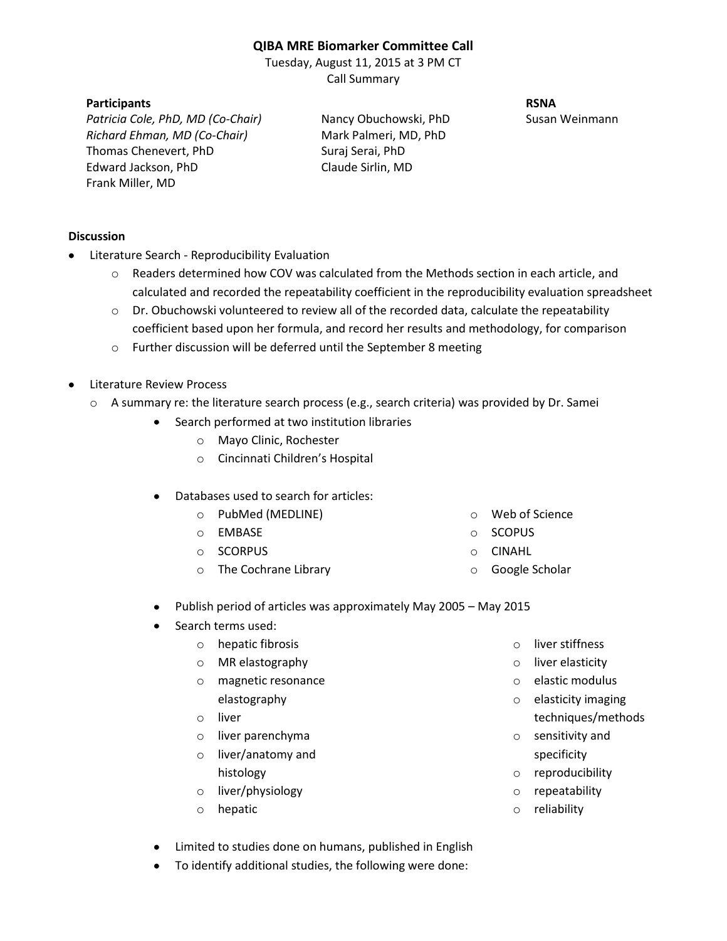## **QIBA MRE Biomarker Committee Call**

Tuesday, August 11, 2015 at 3 PM CT Call Summary

## **Participants RSNA**

*Patricia Cole, PhD, MD (Co-Chair)* Nancy Obuchowski, PhD Susan Weinmann *Richard Ehman, MD (Co-Chair)* Mark Palmeri, MD, PhD Thomas Chenevert, PhD Suraj Serai, PhD Edward Jackson, PhD Claude Sirlin, MD Frank Miller, MD

## **Discussion**

- Literature Search Reproducibility Evaluation
	- o Readers determined how COV was calculated from the Methods section in each article, and calculated and recorded the repeatability coefficient in the reproducibility evaluation spreadsheet
	- $\circ$  Dr. Obuchowski volunteered to review all of the recorded data, calculate the repeatability coefficient based upon her formula, and record her results and methodology, for comparison
	- o Further discussion will be deferred until the September 8 meeting
- Literature Review Process
	- o A summary re: the literature search process (e.g., search criteria) was provided by Dr. Samei
		- Search performed at two institution libraries
			- o Mayo Clinic, Rochester
			- o Cincinnati Children's Hospital
		- Databases used to search for articles:
			- o PubMed (MEDLINE)
			- o EMBASE
			- o SCORPUS
			- o The Cochrane Library
- o Web of Science
- o SCOPUS
- o CINAHL
- o Google Scholar
- Publish period of articles was approximately May 2005 May 2015
- Search terms used:
	- o hepatic fibrosis
	- o MR elastography
	- o magnetic resonance elastography
	- o liver
	- o liver parenchyma
	- o liver/anatomy and histology
	- o liver/physiology
	- o hepatic
- o liver stiffness
- o liver elasticity
- o elastic modulus
- o elasticity imaging techniques/methods
- o sensitivity and specificity
- o reproducibility
- o repeatability
- o reliability
- Limited to studies done on humans, published in English
- To identify additional studies, the following were done: